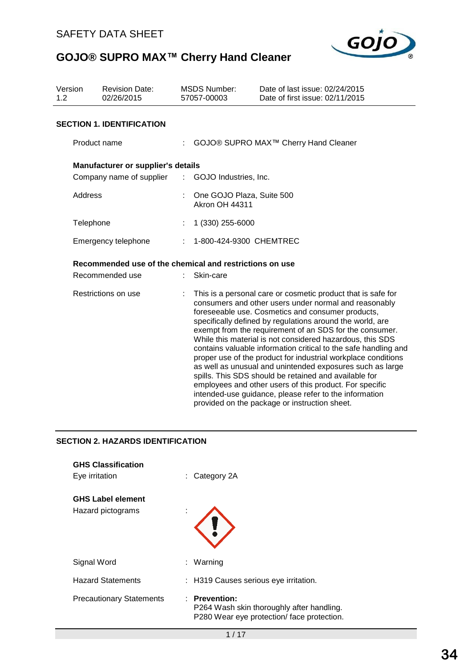

| Version<br>1.2                                          | <b>Revision Date:</b><br>02/26/2015 |    | <b>MSDS Number:</b><br>57057-00003                 | Date of last issue: 02/24/2015<br>Date of first issue: 02/11/2015                                                                                                                                                                                                                                                                                                                                                                                                                                                                                                                                                                                                                                                                                                                               |
|---------------------------------------------------------|-------------------------------------|----|----------------------------------------------------|-------------------------------------------------------------------------------------------------------------------------------------------------------------------------------------------------------------------------------------------------------------------------------------------------------------------------------------------------------------------------------------------------------------------------------------------------------------------------------------------------------------------------------------------------------------------------------------------------------------------------------------------------------------------------------------------------------------------------------------------------------------------------------------------------|
|                                                         | <b>SECTION 1. IDENTIFICATION</b>    |    |                                                    |                                                                                                                                                                                                                                                                                                                                                                                                                                                                                                                                                                                                                                                                                                                                                                                                 |
|                                                         | Product name                        | ÷. |                                                    | GOJO® SUPRO MAX <sup>™</sup> Cherry Hand Cleaner                                                                                                                                                                                                                                                                                                                                                                                                                                                                                                                                                                                                                                                                                                                                                |
|                                                         | Manufacturer or supplier's details  |    |                                                    |                                                                                                                                                                                                                                                                                                                                                                                                                                                                                                                                                                                                                                                                                                                                                                                                 |
|                                                         | Company name of supplier            |    | : GOJO Industries, Inc.                            |                                                                                                                                                                                                                                                                                                                                                                                                                                                                                                                                                                                                                                                                                                                                                                                                 |
| Address                                                 |                                     | ÷  | One GOJO Plaza, Suite 500<br><b>Akron OH 44311</b> |                                                                                                                                                                                                                                                                                                                                                                                                                                                                                                                                                                                                                                                                                                                                                                                                 |
| Telephone                                               |                                     | t  | 1 (330) 255-6000                                   |                                                                                                                                                                                                                                                                                                                                                                                                                                                                                                                                                                                                                                                                                                                                                                                                 |
|                                                         | Emergency telephone                 |    | 1-800-424-9300 CHEMTREC                            |                                                                                                                                                                                                                                                                                                                                                                                                                                                                                                                                                                                                                                                                                                                                                                                                 |
| Recommended use of the chemical and restrictions on use |                                     |    |                                                    |                                                                                                                                                                                                                                                                                                                                                                                                                                                                                                                                                                                                                                                                                                                                                                                                 |
|                                                         | Recommended use                     |    | Skin-care                                          |                                                                                                                                                                                                                                                                                                                                                                                                                                                                                                                                                                                                                                                                                                                                                                                                 |
|                                                         | Restrictions on use                 |    |                                                    | This is a personal care or cosmetic product that is safe for<br>consumers and other users under normal and reasonably<br>foreseeable use. Cosmetics and consumer products,<br>specifically defined by regulations around the world, are<br>exempt from the requirement of an SDS for the consumer.<br>While this material is not considered hazardous, this SDS<br>contains valuable information critical to the safe handling and<br>proper use of the product for industrial workplace conditions<br>as well as unusual and unintended exposures such as large<br>spills. This SDS should be retained and available for<br>employees and other users of this product. For specific<br>intended-use guidance, please refer to the information<br>provided on the package or instruction sheet. |

### **SECTION 2. HAZARDS IDENTIFICATION**

| <b>GHS Classification</b><br>Eye irritation   | $\therefore$ Category 2A                                                                                |
|-----------------------------------------------|---------------------------------------------------------------------------------------------------------|
| <b>GHS Label element</b><br>Hazard pictograms |                                                                                                         |
| Signal Word                                   | : Warning                                                                                               |
| <b>Hazard Statements</b>                      | : H319 Causes serious eye irritation.                                                                   |
| <b>Precautionary Statements</b>               | : Prevention:<br>P264 Wash skin thoroughly after handling.<br>P280 Wear eye protection/face protection. |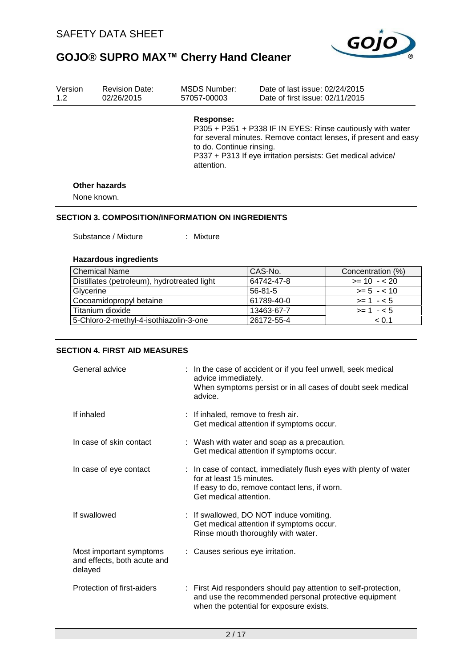

| Response:                              | P305 + P351 + P338 IF IN EYES: Rinse cautiously with water<br>for several minutes. Remove contact lenses, if present and easy |
|----------------------------------------|-------------------------------------------------------------------------------------------------------------------------------|
| to do. Continue rinsing.<br>attention. | P337 + P313 If eye irritation persists: Get medical advice/                                                                   |
|                                        |                                                                                                                               |
|                                        |                                                                                                                               |
| <b>Other hazards</b><br>None known.    |                                                                                                                               |

#### **SECTION 3. COMPOSITION/INFORMATION ON INGREDIENTS**

Substance / Mixture : Mixture

#### **Hazardous ingredients**

| <b>Chemical Name</b>                        | CAS-No.    | Concentration (%) |
|---------------------------------------------|------------|-------------------|
| Distillates (petroleum), hydrotreated light | 64742-47-8 | $>= 10 - 20$      |
| Glycerine                                   | 56-81-5    | $>= 5 - 10$       |
| Cocoamidopropyl betaine                     | 61789-40-0 | $>= 1 - 5$        |
| Titanium dioxide                            | 13463-67-7 | $>= 1 - 5$        |
| 5-Chloro-2-methyl-4-isothiazolin-3-one      | 26172-55-4 | < 0.1             |

#### **SECTION 4. FIRST AID MEASURES**

| General advice                                                    | : In the case of accident or if you feel unwell, seek medical<br>advice immediately.<br>When symptoms persist or in all cases of doubt seek medical<br>advice.          |
|-------------------------------------------------------------------|-------------------------------------------------------------------------------------------------------------------------------------------------------------------------|
| If inhaled                                                        | : If inhaled, remove to fresh air.<br>Get medical attention if symptoms occur.                                                                                          |
| In case of skin contact                                           | : Wash with water and soap as a precaution.<br>Get medical attention if symptoms occur.                                                                                 |
| In case of eye contact                                            | : In case of contact, immediately flush eyes with plenty of water<br>for at least 15 minutes.<br>If easy to do, remove contact lens, if worn.<br>Get medical attention. |
| If swallowed                                                      | : If swallowed, DO NOT induce vomiting.<br>Get medical attention if symptoms occur.<br>Rinse mouth thoroughly with water.                                               |
| Most important symptoms<br>and effects, both acute and<br>delayed | : Causes serious eye irritation.                                                                                                                                        |
| Protection of first-aiders                                        | : First Aid responders should pay attention to self-protection,<br>and use the recommended personal protective equipment<br>when the potential for exposure exists.     |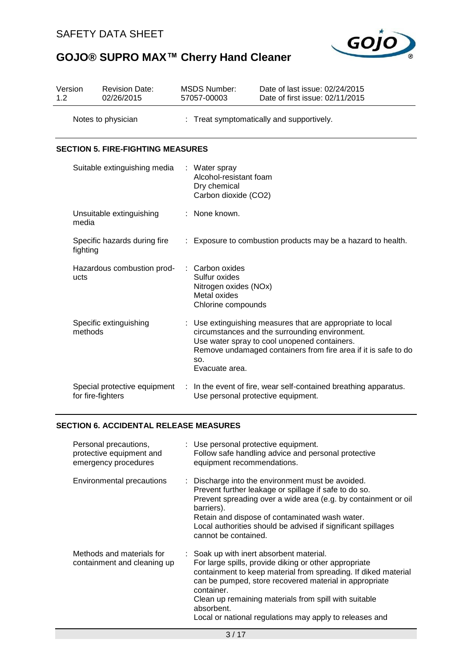

| Version<br>1.2 |                                                   | <b>Revision Date:</b><br>02/26/2015                                       |    | <b>MSDS Number:</b><br>57057-00003                                                              | Date of last issue: 02/24/2015<br>Date of first issue: 02/11/2015                                                                                                                                                            |
|----------------|---------------------------------------------------|---------------------------------------------------------------------------|----|-------------------------------------------------------------------------------------------------|------------------------------------------------------------------------------------------------------------------------------------------------------------------------------------------------------------------------------|
|                |                                                   | Notes to physician                                                        | ÷. |                                                                                                 | Treat symptomatically and supportively.                                                                                                                                                                                      |
|                |                                                   | <b>SECTION 5. FIRE-FIGHTING MEASURES</b>                                  |    |                                                                                                 |                                                                                                                                                                                                                              |
|                |                                                   | Suitable extinguishing media                                              |    | : Water spray<br>Alcohol-resistant foam<br>Dry chemical<br>Carbon dioxide (CO2)                 |                                                                                                                                                                                                                              |
|                | media                                             | Unsuitable extinguishing                                                  |    | None known.                                                                                     |                                                                                                                                                                                                                              |
|                | fighting                                          | Specific hazards during fire                                              |    |                                                                                                 | Exposure to combustion products may be a hazard to health.                                                                                                                                                                   |
|                | ucts                                              | Hazardous combustion prod-                                                |    | : Carbon oxides<br>Sulfur oxides<br>Nitrogen oxides (NOx)<br>Metal oxides<br>Chlorine compounds |                                                                                                                                                                                                                              |
|                | methods                                           | Specific extinguishing                                                    |    | SO.<br>Evacuate area.                                                                           | Use extinguishing measures that are appropriate to local<br>circumstances and the surrounding environment.<br>Use water spray to cool unopened containers.<br>Remove undamaged containers from fire area if it is safe to do |
|                | Special protective equipment<br>for fire-fighters |                                                                           |    |                                                                                                 | : In the event of fire, wear self-contained breathing apparatus.<br>Use personal protective equipment.                                                                                                                       |
|                |                                                   | <b>SECTION 6. ACCIDENTAL RELEASE MEASURES</b>                             |    |                                                                                                 |                                                                                                                                                                                                                              |
|                |                                                   | Personal precautions,<br>protective equipment and<br>emergency procedures |    | : Use personal protective equipment.<br>equipment recommendations.                              | Follow safe handling advice and personal protective                                                                                                                                                                          |
|                |                                                   | Environmental precautions                                                 |    | barriers).                                                                                      | Discharge into the environment must be avoided.<br>Prevent further leakage or spillage if safe to do so.<br>Prevent spreading over a wide area (e.g. by containment or oil<br>Botain and dianoge of contaminated wook water  |

Retain and dispose of contaminated wash water. Local authorities should be advised if significant spillages cannot be contained.

Methods and materials for containment and cleaning up : Soak up with inert absorbent material. For large spills, provide diking or other appropriate containment to keep material from spreading. If diked material can be pumped, store recovered material in appropriate container. Clean up remaining materials from spill with suitable absorbent. Local or national regulations may apply to releases and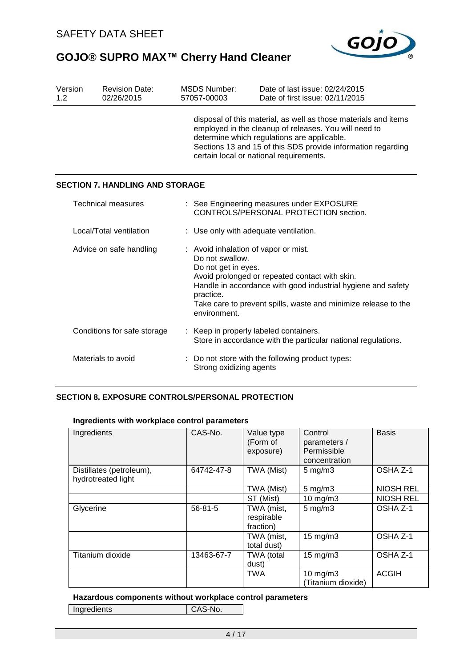

| Version<br>1.2              | <b>Revision Date:</b><br>02/26/2015    |  | <b>MSDS Number:</b><br>57057-00003                                                                                                                                                                                                                                                              | Date of last issue: 02/24/2015<br>Date of first issue: 02/11/2015 |  |  |
|-----------------------------|----------------------------------------|--|-------------------------------------------------------------------------------------------------------------------------------------------------------------------------------------------------------------------------------------------------------------------------------------------------|-------------------------------------------------------------------|--|--|
|                             |                                        |  | disposal of this material, as well as those materials and items<br>employed in the cleanup of releases. You will need to<br>determine which regulations are applicable.<br>Sections 13 and 15 of this SDS provide information regarding<br>certain local or national requirements.              |                                                                   |  |  |
|                             | <b>SECTION 7. HANDLING AND STORAGE</b> |  |                                                                                                                                                                                                                                                                                                 |                                                                   |  |  |
|                             | Technical measures                     |  | : See Engineering measures under EXPOSURE<br>CONTROLS/PERSONAL PROTECTION section.                                                                                                                                                                                                              |                                                                   |  |  |
| Local/Total ventilation     |                                        |  | : Use only with adequate ventilation.                                                                                                                                                                                                                                                           |                                                                   |  |  |
| Advice on safe handling     |                                        |  | : Avoid inhalation of vapor or mist.<br>Do not swallow.<br>Do not get in eyes.<br>Avoid prolonged or repeated contact with skin.<br>Handle in accordance with good industrial hygiene and safety<br>practice.<br>Take care to prevent spills, waste and minimize release to the<br>environment. |                                                                   |  |  |
| Conditions for safe storage |                                        |  | Keep in properly labeled containers.<br>Store in accordance with the particular national regulations.                                                                                                                                                                                           |                                                                   |  |  |
|                             | Materials to avoid                     |  | Strong oxidizing agents                                                                                                                                                                                                                                                                         | : Do not store with the following product types:                  |  |  |

#### **SECTION 8. EXPOSURE CONTROLS/PERSONAL PROTECTION**

#### **Ingredients with workplace control parameters**

| Ingredients                                    | CAS-No.       | Value type<br>(Form of<br>exposure)   | Control<br>parameters /<br>Permissible<br>concentration | <b>Basis</b>     |
|------------------------------------------------|---------------|---------------------------------------|---------------------------------------------------------|------------------|
| Distillates (petroleum),<br>hydrotreated light | 64742-47-8    | TWA (Mist)                            | $5$ mg/m $3$                                            | OSHA Z-1         |
|                                                |               | TWA (Mist)                            | $5 \text{ mg/m}$                                        | <b>NIOSH REL</b> |
|                                                |               | ST (Mist)                             | 10 mg/m3                                                | <b>NIOSH REL</b> |
| Glycerine                                      | $56 - 81 - 5$ | TWA (mist,<br>respirable<br>fraction) | $5 \text{ mg/m}$ 3                                      | OSHA Z-1         |
|                                                |               | TWA (mist,<br>total dust)             | $15 \text{ mg/m}$                                       | OSHA Z-1         |
| Titanium dioxide                               | 13463-67-7    | TWA (total<br>dust)                   | $15 \text{ mg/m}$                                       | OSHA Z-1         |
|                                                |               | <b>TWA</b>                            | $10 \text{ mg/m}$<br>(Titanium dioxide)                 | ACGIH            |

#### **Hazardous components without workplace control parameters**

Ingredients | CAS-No.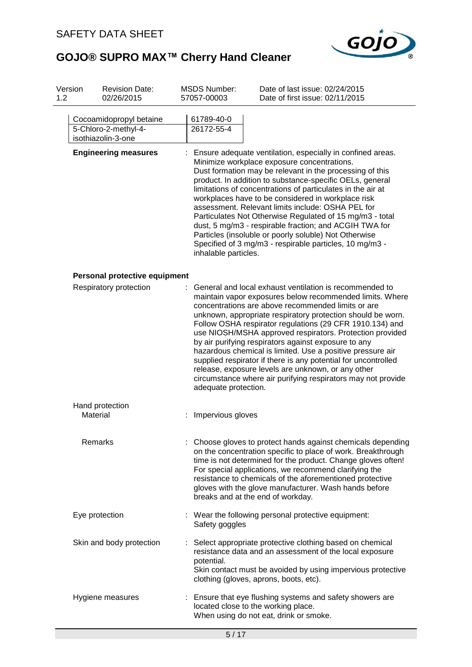

| Version<br>1.2 | <b>Revision Date:</b><br>02/26/2015                                   |                      | <b>MSDS Number:</b><br>57057-00003                                                                                                                                                                                                                                                                                                                                                                                                                                                                                                                                                                                                                                            | Date of last issue: 02/24/2015<br>Date of first issue: 02/11/2015                                                                                                                                                                                                                                                                                                                                                                                                                                                                                                                                                                                                              |  |
|----------------|-----------------------------------------------------------------------|----------------------|-------------------------------------------------------------------------------------------------------------------------------------------------------------------------------------------------------------------------------------------------------------------------------------------------------------------------------------------------------------------------------------------------------------------------------------------------------------------------------------------------------------------------------------------------------------------------------------------------------------------------------------------------------------------------------|--------------------------------------------------------------------------------------------------------------------------------------------------------------------------------------------------------------------------------------------------------------------------------------------------------------------------------------------------------------------------------------------------------------------------------------------------------------------------------------------------------------------------------------------------------------------------------------------------------------------------------------------------------------------------------|--|
|                | Cocoamidopropyl betaine<br>5-Chloro-2-methyl-4-<br>isothiazolin-3-one |                      | 61789-40-0<br>26172-55-4                                                                                                                                                                                                                                                                                                                                                                                                                                                                                                                                                                                                                                                      |                                                                                                                                                                                                                                                                                                                                                                                                                                                                                                                                                                                                                                                                                |  |
|                | <b>Engineering measures</b>                                           |                      | Ensure adequate ventilation, especially in confined areas.<br>Minimize workplace exposure concentrations.<br>Dust formation may be relevant in the processing of this<br>product. In addition to substance-specific OELs, general<br>limitations of concentrations of particulates in the air at<br>workplaces have to be considered in workplace risk<br>assessment. Relevant limits include: OSHA PEL for<br>Particulates Not Otherwise Regulated of 15 mg/m3 - total<br>dust, 5 mg/m3 - respirable fraction; and ACGIH TWA for<br>Particles (insoluble or poorly soluble) Not Otherwise<br>Specified of 3 mg/m3 - respirable particles, 10 mg/m3 -<br>inhalable particles. |                                                                                                                                                                                                                                                                                                                                                                                                                                                                                                                                                                                                                                                                                |  |
|                | Personal protective equipment                                         |                      |                                                                                                                                                                                                                                                                                                                                                                                                                                                                                                                                                                                                                                                                               |                                                                                                                                                                                                                                                                                                                                                                                                                                                                                                                                                                                                                                                                                |  |
|                | Respiratory protection                                                | adequate protection. |                                                                                                                                                                                                                                                                                                                                                                                                                                                                                                                                                                                                                                                                               | General and local exhaust ventilation is recommended to<br>maintain vapor exposures below recommended limits. Where<br>concentrations are above recommended limits or are<br>unknown, appropriate respiratory protection should be worn.<br>Follow OSHA respirator regulations (29 CFR 1910.134) and<br>use NIOSH/MSHA approved respirators. Protection provided<br>by air purifying respirators against exposure to any<br>hazardous chemical is limited. Use a positive pressure air<br>supplied respirator if there is any potential for uncontrolled<br>release, exposure levels are unknown, or any other<br>circumstance where air purifying respirators may not provide |  |
|                | Hand protection<br>Material                                           |                      | Impervious gloves                                                                                                                                                                                                                                                                                                                                                                                                                                                                                                                                                                                                                                                             |                                                                                                                                                                                                                                                                                                                                                                                                                                                                                                                                                                                                                                                                                |  |
|                | Remarks                                                               |                      |                                                                                                                                                                                                                                                                                                                                                                                                                                                                                                                                                                                                                                                                               | Choose gloves to protect hands against chemicals depending<br>on the concentration specific to place of work. Breakthrough<br>time is not determined for the product. Change gloves often!<br>For special applications, we recommend clarifying the<br>resistance to chemicals of the aforementioned protective<br>gloves with the glove manufacturer. Wash hands before<br>breaks and at the end of workday.                                                                                                                                                                                                                                                                  |  |
|                | Eye protection                                                        |                      | Safety goggles                                                                                                                                                                                                                                                                                                                                                                                                                                                                                                                                                                                                                                                                | Wear the following personal protective equipment:                                                                                                                                                                                                                                                                                                                                                                                                                                                                                                                                                                                                                              |  |
|                | Skin and body protection                                              |                      | potential.                                                                                                                                                                                                                                                                                                                                                                                                                                                                                                                                                                                                                                                                    | Select appropriate protective clothing based on chemical<br>resistance data and an assessment of the local exposure<br>Skin contact must be avoided by using impervious protective<br>clothing (gloves, aprons, boots, etc).                                                                                                                                                                                                                                                                                                                                                                                                                                                   |  |
|                | Hygiene measures                                                      |                      |                                                                                                                                                                                                                                                                                                                                                                                                                                                                                                                                                                                                                                                                               | : Ensure that eye flushing systems and safety showers are<br>located close to the working place.<br>When using do not eat, drink or smoke.                                                                                                                                                                                                                                                                                                                                                                                                                                                                                                                                     |  |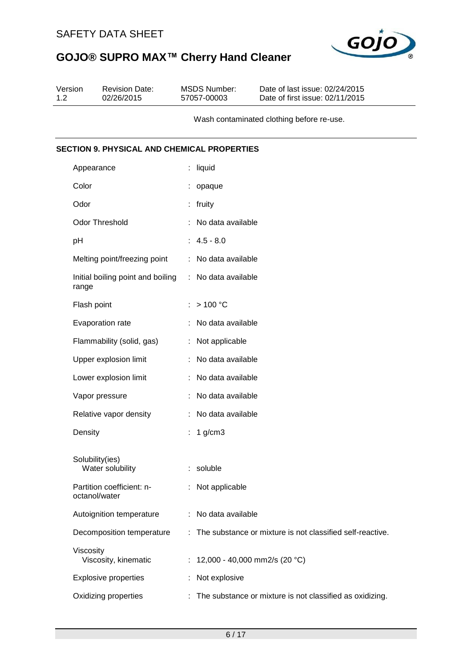

| Version<br>1.2 | <b>Revision Date:</b><br>02/26/2015                | <b>MSDS Number:</b><br>57057-00003 | Date of last issue: 02/24/2015<br>Date of first issue: 02/11/2015 |
|----------------|----------------------------------------------------|------------------------------------|-------------------------------------------------------------------|
|                |                                                    |                                    | Wash contaminated clothing before re-use.                         |
|                | <b>SECTION 9. PHYSICAL AND CHEMICAL PROPERTIES</b> |                                    |                                                                   |
|                | Appearance                                         | $:$ liquid                         |                                                                   |
|                | Color                                              | opaque                             |                                                                   |
|                | Odor                                               | : fruity                           |                                                                   |
|                | <b>Odor Threshold</b>                              | No data available                  |                                                                   |
| pH             |                                                    | $: 4.5 - 8.0$                      |                                                                   |
|                | Melting point/freezing point                       | No data available<br>÷             |                                                                   |
|                | Initial boiling point and boiling<br>range         | : No data available                |                                                                   |
|                | Flash point                                        | >100 °C                            |                                                                   |
|                | Evaporation rate                                   | No data available                  |                                                                   |
|                | Flammability (solid, gas)                          | Not applicable                     |                                                                   |
|                | Upper explosion limit                              | No data available                  |                                                                   |
|                | Lower explosion limit                              | No data available                  |                                                                   |
|                | Vapor pressure                                     | No data available                  |                                                                   |
|                | Relative vapor density                             | No data available<br>÷             |                                                                   |
|                | Density                                            | $1$ g/cm $3$                       |                                                                   |
|                | Solubility(ies)<br>Water solubility                | : soluble                          |                                                                   |
|                | Partition coefficient: n-<br>octanol/water         | Not applicable                     |                                                                   |
|                | Autoignition temperature                           | No data available<br>÷             |                                                                   |
|                | Decomposition temperature                          | ÷.                                 | The substance or mixture is not classified self-reactive.         |
|                | Viscosity<br>Viscosity, kinematic                  | 12,000 - 40,000 mm2/s (20 °C)      |                                                                   |
|                | <b>Explosive properties</b>                        | Not explosive                      |                                                                   |
|                | Oxidizing properties                               |                                    | : The substance or mixture is not classified as oxidizing.        |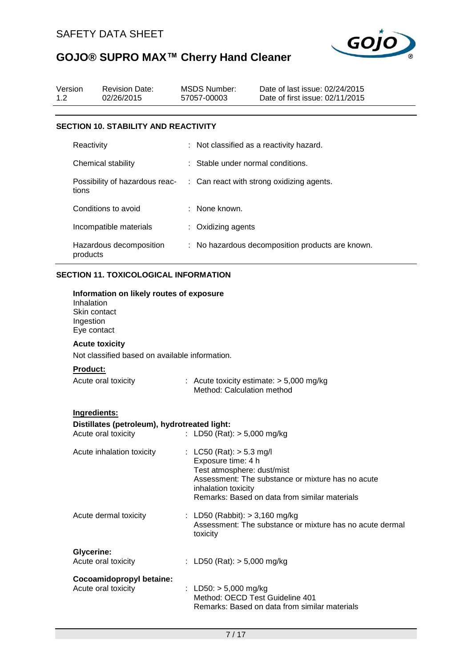

| Version<br>1.2 |                                                        | <b>Revision Date:</b><br>02/26/2015                                 |  | <b>MSDS Number:</b><br>57057-00003                                                                    | Date of last issue: 02/24/2015<br>Date of first issue: 02/11/2015                                  |  |  |  |
|----------------|--------------------------------------------------------|---------------------------------------------------------------------|--|-------------------------------------------------------------------------------------------------------|----------------------------------------------------------------------------------------------------|--|--|--|
|                |                                                        | <b>SECTION 10. STABILITY AND REACTIVITY</b>                         |  |                                                                                                       |                                                                                                    |  |  |  |
|                | Reactivity                                             |                                                                     |  |                                                                                                       | : Not classified as a reactivity hazard.                                                           |  |  |  |
|                |                                                        | Chemical stability                                                  |  | Stable under normal conditions.                                                                       |                                                                                                    |  |  |  |
|                | tions                                                  | Possibility of hazardous reac-                                      |  |                                                                                                       | Can react with strong oxidizing agents.                                                            |  |  |  |
|                |                                                        | Conditions to avoid                                                 |  | None known.                                                                                           |                                                                                                    |  |  |  |
|                |                                                        | Incompatible materials                                              |  | : Oxidizing agents                                                                                    |                                                                                                    |  |  |  |
|                | products                                               | Hazardous decomposition                                             |  | : No hazardous decomposition products are known.                                                      |                                                                                                    |  |  |  |
|                |                                                        | <b>SECTION 11. TOXICOLOGICAL INFORMATION</b>                        |  |                                                                                                       |                                                                                                    |  |  |  |
|                | Inhalation<br>Skin contact<br>Ingestion<br>Eye contact | Information on likely routes of exposure                            |  |                                                                                                       |                                                                                                    |  |  |  |
|                |                                                        | <b>Acute toxicity</b>                                               |  |                                                                                                       |                                                                                                    |  |  |  |
|                | Not classified based on available information.         |                                                                     |  |                                                                                                       |                                                                                                    |  |  |  |
|                | Product:                                               |                                                                     |  |                                                                                                       |                                                                                                    |  |  |  |
|                |                                                        | Acute oral toxicity                                                 |  | Method: Calculation method                                                                            | : Acute toxicity estimate: $> 5,000$ mg/kg                                                         |  |  |  |
|                | Ingredients:                                           | Distillates (petroleum), hydrotreated light:<br>Acute oral toxicity |  | : LD50 (Rat): $> 5,000$ mg/kg                                                                         |                                                                                                    |  |  |  |
|                |                                                        | Acute inhalation toxicity                                           |  | : LC50 (Rat): $> 5.3$ mg/l<br>Exposure time: 4 h<br>Test atmosphere: dust/mist<br>inhalation toxicity | Assessment: The substance or mixture has no acute<br>Remarks: Based on data from similar materials |  |  |  |
|                |                                                        | Acute dermal toxicity                                               |  | : LD50 (Rabbit): $> 3,160$ mg/kg<br>toxicity                                                          | Assessment: The substance or mixture has no acute dermal                                           |  |  |  |
|                | <b>Glycerine:</b>                                      | Acute oral toxicity                                                 |  | : LD50 (Rat): $> 5,000$ mg/kg                                                                         |                                                                                                    |  |  |  |
|                |                                                        | Cocoamidopropyl betaine:<br>Acute oral toxicity                     |  | : LD50: $> 5,000$ mg/kg<br>Method: OECD Test Guideline 401                                            | Remarks: Based on data from similar materials                                                      |  |  |  |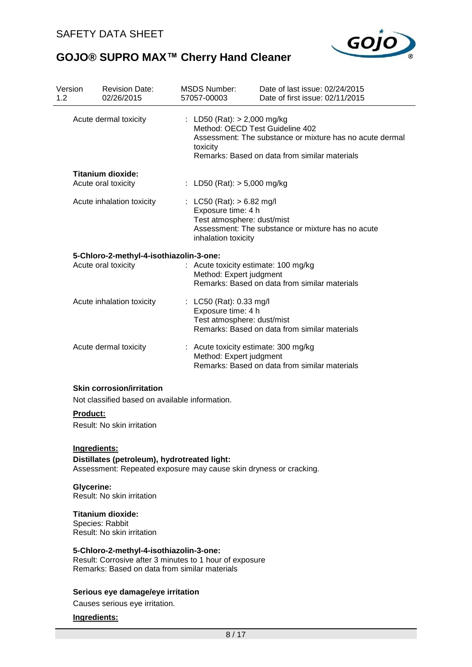

| Version<br>1.2 | <b>Revision Date:</b><br>02/26/2015                                                                                                                    |  | <b>MSDS Number:</b><br>57057-00003                                                                                                                          | Date of last issue: 02/24/2015<br>Date of first issue: 02/11/2015                                         |  |  |
|----------------|--------------------------------------------------------------------------------------------------------------------------------------------------------|--|-------------------------------------------------------------------------------------------------------------------------------------------------------------|-----------------------------------------------------------------------------------------------------------|--|--|
|                | Acute dermal toxicity                                                                                                                                  |  | : LD50 (Rat): $>$ 2,000 mg/kg<br>Method: OECD Test Guideline 402<br>toxicity                                                                                | Assessment: The substance or mixture has no acute dermal<br>Remarks: Based on data from similar materials |  |  |
|                | Titanium dioxide:<br>Acute oral toxicity                                                                                                               |  | : LD50 (Rat): $> 5,000$ mg/kg                                                                                                                               |                                                                                                           |  |  |
|                | Acute inhalation toxicity                                                                                                                              |  | : LC50 (Rat): $> 6.82$ mg/l<br>Exposure time: 4 h<br>Test atmosphere: dust/mist<br>Assessment: The substance or mixture has no acute<br>inhalation toxicity |                                                                                                           |  |  |
|                | 5-Chloro-2-methyl-4-isothiazolin-3-one:<br>Acute oral toxicity                                                                                         |  | : Acute toxicity estimate: 100 mg/kg<br>Method: Expert judgment                                                                                             | Remarks: Based on data from similar materials                                                             |  |  |
|                | Acute inhalation toxicity                                                                                                                              |  | : LC50 (Rat): $0.33 \text{ mg/l}$<br>Exposure time: 4 h<br>Test atmosphere: dust/mist                                                                       | Remarks: Based on data from similar materials                                                             |  |  |
|                | Acute dermal toxicity                                                                                                                                  |  | : Acute toxicity estimate: 300 mg/kg<br>Method: Expert judgment                                                                                             | Remarks: Based on data from similar materials                                                             |  |  |
|                | <b>Skin corrosion/irritation</b><br>Not classified based on available information.                                                                     |  |                                                                                                                                                             |                                                                                                           |  |  |
|                | <b>Product:</b><br>Result: No skin irritation                                                                                                          |  |                                                                                                                                                             |                                                                                                           |  |  |
|                | Ingredients:<br>Distillates (petroleum), hydrotreated light:<br>Assessment: Repeated exposure may cause skin dryness or cracking.<br><b>Glycerine:</b> |  |                                                                                                                                                             |                                                                                                           |  |  |
|                | Result: No skin irritation                                                                                                                             |  |                                                                                                                                                             |                                                                                                           |  |  |
|                | Titanium dioxide:<br>Species: Rabbit<br>Result: No skin irritation                                                                                     |  |                                                                                                                                                             |                                                                                                           |  |  |
|                | 5-Chloro-2-methyl-4-isothiazolin-3-one:<br>Result: Corrosive after 3 minutes to 1 hour of exposure<br>Remarks: Based on data from similar materials    |  |                                                                                                                                                             |                                                                                                           |  |  |
|                | Serious eye damage/eye irritation<br>Causes serious eye irritation.                                                                                    |  |                                                                                                                                                             |                                                                                                           |  |  |
|                | Ingredients:                                                                                                                                           |  |                                                                                                                                                             |                                                                                                           |  |  |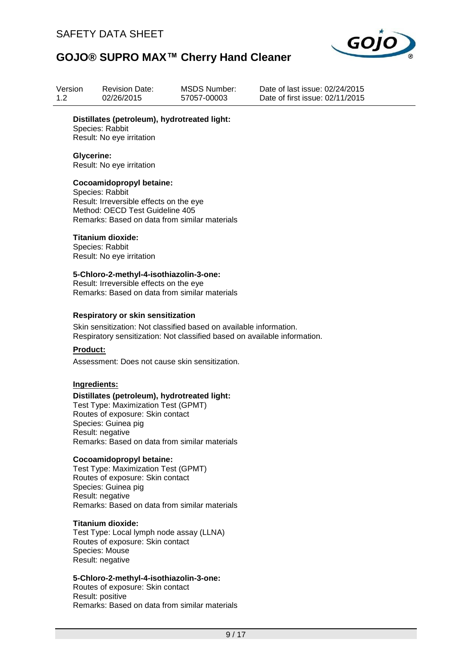

| Version<br>1.2 |                   | <b>Revision Date:</b><br>02/26/2015                                                                                                                                                                                 | <b>MSDS Number:</b><br>57057-00003                                                                                                              | Date of last issue: 02/24/2015<br>Date of first issue: 02/11/2015 |
|----------------|-------------------|---------------------------------------------------------------------------------------------------------------------------------------------------------------------------------------------------------------------|-------------------------------------------------------------------------------------------------------------------------------------------------|-------------------------------------------------------------------|
|                |                   | Distillates (petroleum), hydrotreated light:<br>Species: Rabbit<br>Result: No eye irritation                                                                                                                        |                                                                                                                                                 |                                                                   |
|                | <b>Glycerine:</b> | Result: No eye irritation                                                                                                                                                                                           |                                                                                                                                                 |                                                                   |
|                |                   | Cocoamidopropyl betaine:<br>Species: Rabbit<br>Result: Irreversible effects on the eye<br>Method: OECD Test Guideline 405<br>Remarks: Based on data from similar materials                                          |                                                                                                                                                 |                                                                   |
|                |                   | <b>Titanium dioxide:</b><br>Species: Rabbit<br>Result: No eye irritation                                                                                                                                            |                                                                                                                                                 |                                                                   |
|                |                   | 5-Chloro-2-methyl-4-isothiazolin-3-one:<br>Result: Irreversible effects on the eye<br>Remarks: Based on data from similar materials                                                                                 |                                                                                                                                                 |                                                                   |
|                |                   | <b>Respiratory or skin sensitization</b>                                                                                                                                                                            | Skin sensitization: Not classified based on available information.<br>Respiratory sensitization: Not classified based on available information. |                                                                   |
|                | <b>Product:</b>   | Assessment: Does not cause skin sensitization.                                                                                                                                                                      |                                                                                                                                                 |                                                                   |
|                | Ingredients:      | Distillates (petroleum), hydrotreated light:<br>Test Type: Maximization Test (GPMT)<br>Routes of exposure: Skin contact<br>Species: Guinea pig<br>Result: negative<br>Remarks: Based on data from similar materials |                                                                                                                                                 |                                                                   |
|                |                   | Cocoamidopropyl betaine:<br>Test Type: Maximization Test (GPMT)<br>Routes of exposure: Skin contact<br>Species: Guinea pig<br>Result: negative<br>Remarks: Based on data from similar materials                     |                                                                                                                                                 |                                                                   |
|                |                   | <b>Titanium dioxide:</b><br>Test Type: Local lymph node assay (LLNA)<br>Routes of exposure: Skin contact<br>Species: Mouse<br>Result: negative                                                                      |                                                                                                                                                 |                                                                   |
|                |                   | 5-Chloro-2-methyl-4-isothiazolin-3-one:<br>Routes of exposure: Skin contact<br>Result: positive<br>Remarks: Based on data from similar materials                                                                    |                                                                                                                                                 |                                                                   |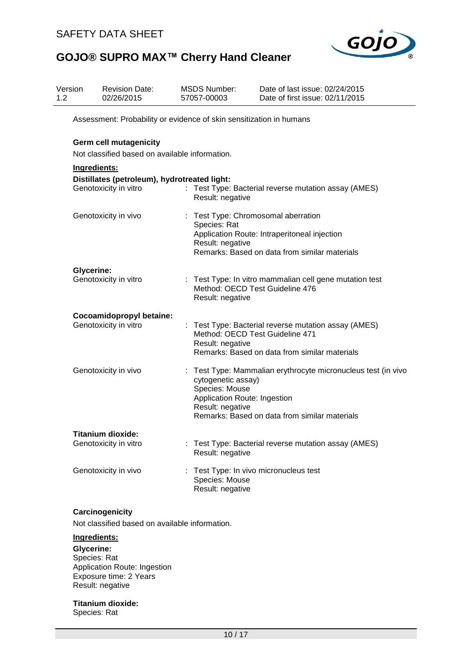

| Version<br>1.2 |                               | <b>Revision Date:</b><br>02/26/2015                                   | 57057-00003 | <b>MSDS Number:</b>                                                                      | Date of last issue: 02/24/2015<br>Date of first issue: 02/11/2015                                                                        |  |  |
|----------------|-------------------------------|-----------------------------------------------------------------------|-------------|------------------------------------------------------------------------------------------|------------------------------------------------------------------------------------------------------------------------------------------|--|--|
|                |                               | Assessment: Probability or evidence of skin sensitization in humans   |             |                                                                                          |                                                                                                                                          |  |  |
|                | <b>Germ cell mutagenicity</b> |                                                                       |             |                                                                                          |                                                                                                                                          |  |  |
|                |                               | Not classified based on available information.                        |             |                                                                                          |                                                                                                                                          |  |  |
|                | Ingredients:                  |                                                                       |             |                                                                                          |                                                                                                                                          |  |  |
|                |                               | Distillates (petroleum), hydrotreated light:<br>Genotoxicity in vitro |             | Result: negative                                                                         | : Test Type: Bacterial reverse mutation assay (AMES)                                                                                     |  |  |
|                |                               | Genotoxicity in vivo                                                  |             | Species: Rat<br>Result: negative                                                         | : Test Type: Chromosomal aberration<br>Application Route: Intraperitoneal injection<br>Remarks: Based on data from similar materials     |  |  |
|                | <b>Glycerine:</b>             | Genotoxicity in vitro                                                 |             | Result: negative                                                                         | : Test Type: In vitro mammalian cell gene mutation test<br>Method: OECD Test Guideline 476                                               |  |  |
|                |                               | Cocoamidopropyl betaine:                                              |             |                                                                                          |                                                                                                                                          |  |  |
|                |                               | Genotoxicity in vitro                                                 |             | Result: negative                                                                         | : Test Type: Bacterial reverse mutation assay (AMES)<br>Method: OECD Test Guideline 471<br>Remarks: Based on data from similar materials |  |  |
|                |                               | Genotoxicity in vivo                                                  |             | cytogenetic assay)<br>Species: Mouse<br>Application Route: Ingestion<br>Result: negative | Test Type: Mammalian erythrocyte micronucleus test (in vivo<br>Remarks: Based on data from similar materials                             |  |  |
|                |                               | <b>Titanium dioxide:</b>                                              |             |                                                                                          |                                                                                                                                          |  |  |
|                |                               | Genotoxicity in vitro                                                 |             | Result: negative                                                                         | Test Type: Bacterial reverse mutation assay (AMES)                                                                                       |  |  |
|                |                               | Genotoxicity in vivo                                                  |             | Species: Mouse<br>Result: negative                                                       | Test Type: In vivo micronucleus test                                                                                                     |  |  |

#### **Carcinogenicity**

Not classified based on available information.

#### **Ingredients:**

**Glycerine:** Species: Rat Application Route: Ingestion Exposure time: 2 Years Result: negative

#### **Titanium dioxide:**

Species: Rat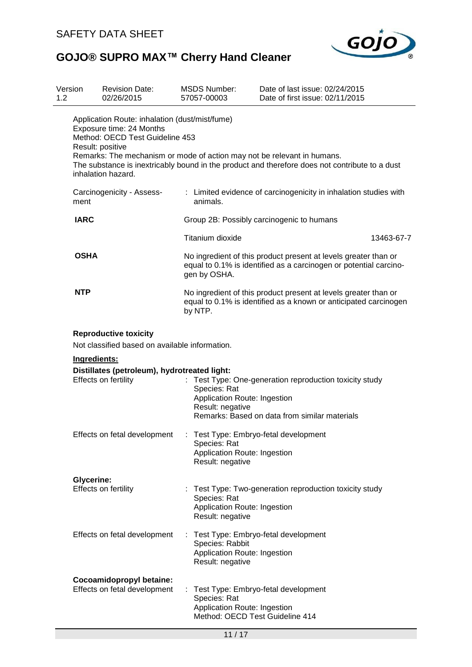

| Version<br>1.2                                                                                                                                                                                                                                                                                                                       |                                   | <b>Revision Date:</b><br>02/26/2015                                                                                                                    |  | <b>MSDS Number:</b><br>57057-00003                                                                                                             | Date of last issue: 02/24/2015<br>Date of first issue: 02/11/2015                                                                    |  |  |  |
|--------------------------------------------------------------------------------------------------------------------------------------------------------------------------------------------------------------------------------------------------------------------------------------------------------------------------------------|-----------------------------------|--------------------------------------------------------------------------------------------------------------------------------------------------------|--|------------------------------------------------------------------------------------------------------------------------------------------------|--------------------------------------------------------------------------------------------------------------------------------------|--|--|--|
| Application Route: inhalation (dust/mist/fume)<br>Exposure time: 24 Months<br>Method: OECD Test Guideline 453<br>Result: positive<br>Remarks: The mechanism or mode of action may not be relevant in humans.<br>The substance is inextricably bound in the product and therefore does not contribute to a dust<br>inhalation hazard. |                                   |                                                                                                                                                        |  |                                                                                                                                                |                                                                                                                                      |  |  |  |
|                                                                                                                                                                                                                                                                                                                                      | Carcinogenicity - Assess-<br>ment |                                                                                                                                                        |  | : Limited evidence of carcinogenicity in inhalation studies with<br>animals.                                                                   |                                                                                                                                      |  |  |  |
|                                                                                                                                                                                                                                                                                                                                      | <b>IARC</b>                       |                                                                                                                                                        |  |                                                                                                                                                | Group 2B: Possibly carcinogenic to humans                                                                                            |  |  |  |
|                                                                                                                                                                                                                                                                                                                                      |                                   |                                                                                                                                                        |  | Titanium dioxide                                                                                                                               | 13463-67-7                                                                                                                           |  |  |  |
|                                                                                                                                                                                                                                                                                                                                      | <b>OSHA</b>                       |                                                                                                                                                        |  | gen by OSHA.                                                                                                                                   | No ingredient of this product present at levels greater than or<br>equal to 0.1% is identified as a carcinogen or potential carcino- |  |  |  |
|                                                                                                                                                                                                                                                                                                                                      | <b>NTP</b>                        |                                                                                                                                                        |  | No ingredient of this product present at levels greater than or<br>equal to 0.1% is identified as a known or anticipated carcinogen<br>by NTP. |                                                                                                                                      |  |  |  |
|                                                                                                                                                                                                                                                                                                                                      | Ingredients:                      | <b>Reproductive toxicity</b><br>Not classified based on available information.<br>Distillates (petroleum), hydrotreated light:<br>Effects on fertility |  | Species: Rat<br>Application Route: Ingestion<br>Result: negative                                                                               | : Test Type: One-generation reproduction toxicity study<br>Remarks: Based on data from similar materials                             |  |  |  |
|                                                                                                                                                                                                                                                                                                                                      |                                   | Effects on fetal development : Test Type: Embryo-fetal development                                                                                     |  | Species: Rat<br>Application Route: Ingestion<br>Result: negative                                                                               |                                                                                                                                      |  |  |  |
|                                                                                                                                                                                                                                                                                                                                      | <b>Glycerine:</b>                 | Effects on fertility                                                                                                                                   |  | Species: Rat<br>Application Route: Ingestion<br>Result: negative                                                                               | : Test Type: Two-generation reproduction toxicity study                                                                              |  |  |  |
|                                                                                                                                                                                                                                                                                                                                      |                                   | Effects on fetal development                                                                                                                           |  | Species: Rabbit<br>Application Route: Ingestion<br>Result: negative                                                                            | : Test Type: Embryo-fetal development                                                                                                |  |  |  |
|                                                                                                                                                                                                                                                                                                                                      |                                   | Cocoamidopropyl betaine:<br>Effects on fetal development                                                                                               |  | Species: Rat<br>Application Route: Ingestion<br>Method: OECD Test Guideline 414                                                                | : Test Type: Embryo-fetal development                                                                                                |  |  |  |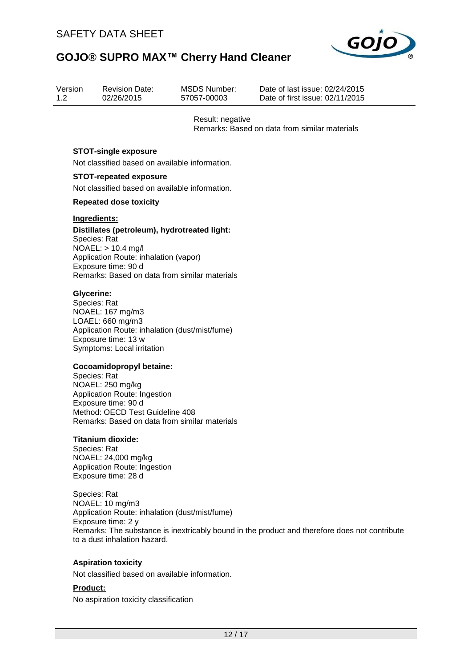

| Version | <b>Revision Date:</b> | MSDS Number:     | Date of last issue: 02/24/2015                |
|---------|-----------------------|------------------|-----------------------------------------------|
| 1.2     | 02/26/2015            | 57057-00003      | Date of first issue: 02/11/2015               |
|         |                       | Result: negative | Remarks: Based on data from similar materials |

#### **STOT-single exposure**

Not classified based on available information.

#### **STOT-repeated exposure**

Not classified based on available information.

#### **Repeated dose toxicity**

#### **Ingredients:**

**Distillates (petroleum), hydrotreated light:** Species: Rat NOAEL: > 10.4 mg/l Application Route: inhalation (vapor) Exposure time: 90 d Remarks: Based on data from similar materials

#### **Glycerine:**

Species: Rat NOAEL: 167 mg/m3 LOAEL: 660 mg/m3 Application Route: inhalation (dust/mist/fume) Exposure time: 13 w Symptoms: Local irritation

#### **Cocoamidopropyl betaine:**

Species: Rat NOAEL: 250 mg/kg Application Route: Ingestion Exposure time: 90 d Method: OECD Test Guideline 408 Remarks: Based on data from similar materials

#### **Titanium dioxide:**

Species: Rat NOAEL: 24,000 mg/kg Application Route: Ingestion Exposure time: 28 d

Species: Rat NOAEL: 10 mg/m3 Application Route: inhalation (dust/mist/fume) Exposure time: 2 y Remarks: The substance is inextricably bound in the product and therefore does not contribute to a dust inhalation hazard.

#### **Aspiration toxicity**

Not classified based on available information.

#### **Product:**

No aspiration toxicity classification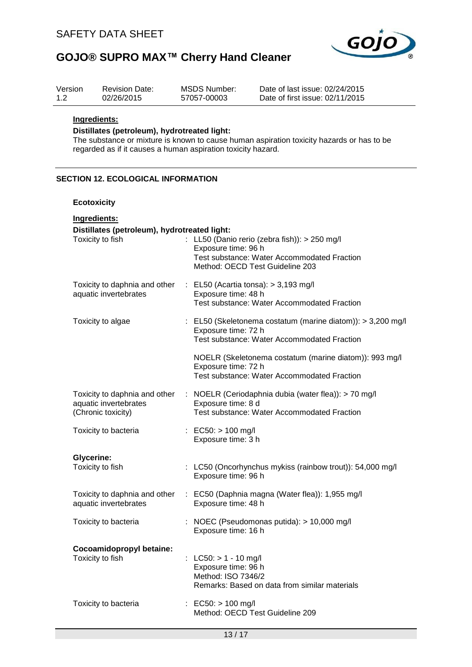

| Version<br>1.2 | <b>Revision Date:</b><br>02/26/2015                                                                                                                                                                                       |  | <b>MSDS Number:</b><br>57057-00003                                   | Date of last issue: 02/24/2015<br>Date of first issue: 02/11/2015                                                                 |  |  |  |  |
|----------------|---------------------------------------------------------------------------------------------------------------------------------------------------------------------------------------------------------------------------|--|----------------------------------------------------------------------|-----------------------------------------------------------------------------------------------------------------------------------|--|--|--|--|
|                | Ingredients:<br>Distillates (petroleum), hydrotreated light:<br>The substance or mixture is known to cause human aspiration toxicity hazards or has to be<br>regarded as if it causes a human aspiration toxicity hazard. |  |                                                                      |                                                                                                                                   |  |  |  |  |
|                | <b>SECTION 12. ECOLOGICAL INFORMATION</b>                                                                                                                                                                                 |  |                                                                      |                                                                                                                                   |  |  |  |  |
|                | <b>Ecotoxicity</b>                                                                                                                                                                                                        |  |                                                                      |                                                                                                                                   |  |  |  |  |
|                | Ingredients:<br>Distillates (petroleum), hydrotreated light:<br>Toxicity to fish                                                                                                                                          |  | Exposure time: 96 h                                                  | : LL50 (Danio rerio (zebra fish)): $> 250$ mg/l<br>Test substance: Water Accommodated Fraction<br>Method: OECD Test Guideline 203 |  |  |  |  |
|                | Toxicity to daphnia and other<br>aquatic invertebrates                                                                                                                                                                    |  | Exposure time: 48 h                                                  | $\therefore$ EL50 (Acartia tonsa): > 3,193 mg/l<br>Test substance: Water Accommodated Fraction                                    |  |  |  |  |
|                | Toxicity to algae                                                                                                                                                                                                         |  | Exposure time: 72 h                                                  | : EL50 (Skeletonema costatum (marine diatom)): > 3,200 mg/l<br><b>Test substance: Water Accommodated Fraction</b>                 |  |  |  |  |
|                |                                                                                                                                                                                                                           |  | Exposure time: 72 h                                                  | NOELR (Skeletonema costatum (marine diatom)): 993 mg/l<br><b>Test substance: Water Accommodated Fraction</b>                      |  |  |  |  |
|                | Toxicity to daphnia and other<br>aquatic invertebrates<br>(Chronic toxicity)                                                                                                                                              |  | Exposure time: 8 d                                                   | : NOELR (Ceriodaphnia dubia (water flea)): > 70 mg/l<br>Test substance: Water Accommodated Fraction                               |  |  |  |  |
|                | Toxicity to bacteria                                                                                                                                                                                                      |  | : EC50: $> 100$ mg/l<br>Exposure time: 3 h                           |                                                                                                                                   |  |  |  |  |
|                | <b>Glycerine:</b><br>Toxicity to fish                                                                                                                                                                                     |  | Exposure time: 96 h                                                  | : LC50 (Oncorhynchus mykiss (rainbow trout)): 54,000 mg/l                                                                         |  |  |  |  |
|                | Toxicity to daphnia and other<br>aquatic invertebrates                                                                                                                                                                    |  | Exposure time: 48 h                                                  | : EC50 (Daphnia magna (Water flea)): 1,955 mg/l                                                                                   |  |  |  |  |
|                | Toxicity to bacteria                                                                                                                                                                                                      |  | Exposure time: 16 h                                                  | : NOEC (Pseudomonas putida): > 10,000 mg/l                                                                                        |  |  |  |  |
|                | Cocoamidopropyl betaine:<br>Toxicity to fish                                                                                                                                                                              |  | : LC50: $> 1 - 10$ mg/l<br>Exposure time: 96 h<br>Method: ISO 7346/2 | Remarks: Based on data from similar materials                                                                                     |  |  |  |  |
|                | Toxicity to bacteria                                                                                                                                                                                                      |  | : EC50: $> 100$ mg/l                                                 | Method: OECD Test Guideline 209                                                                                                   |  |  |  |  |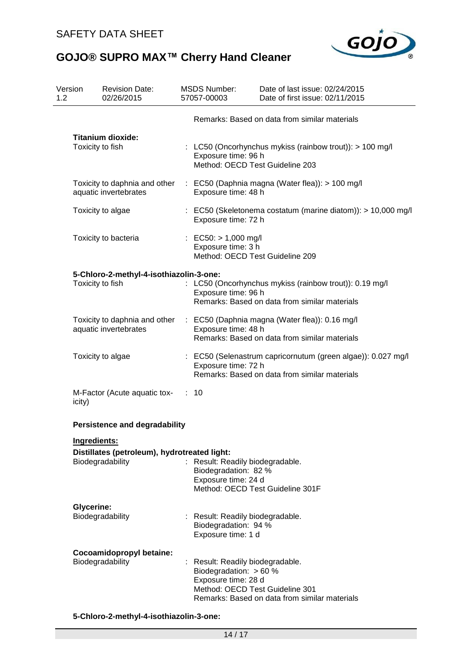

| Version<br>1.2 | <b>Revision Date:</b><br>02/26/2015                                              |    | <b>MSDS Number:</b><br>57057-00003                                                                                     | Date of last issue: 02/24/2015<br>Date of first issue: 02/11/2015                                                             |
|----------------|----------------------------------------------------------------------------------|----|------------------------------------------------------------------------------------------------------------------------|-------------------------------------------------------------------------------------------------------------------------------|
|                |                                                                                  |    |                                                                                                                        | Remarks: Based on data from similar materials                                                                                 |
|                | <b>Titanium dioxide:</b><br>Toxicity to fish                                     |    | Exposure time: 96 h<br>Method: OECD Test Guideline 203                                                                 | : LC50 (Oncorhynchus mykiss (rainbow trout)): > 100 mg/l                                                                      |
|                | Toxicity to daphnia and other<br>aquatic invertebrates                           |    | Exposure time: 48 h                                                                                                    | : EC50 (Daphnia magna (Water flea)): > 100 mg/l                                                                               |
|                | Toxicity to algae                                                                |    | Exposure time: 72 h                                                                                                    | $\therefore$ EC50 (Skeletonema costatum (marine diatom)): > 10,000 mg/l                                                       |
|                | Toxicity to bacteria                                                             |    | : EC50: $> 1,000$ mg/l<br>Exposure time: 3 h<br>Method: OECD Test Guideline 209                                        |                                                                                                                               |
|                | 5-Chloro-2-methyl-4-isothiazolin-3-one:<br>Toxicity to fish                      |    | Exposure time: 96 h                                                                                                    | : LC50 (Oncorhynchus mykiss (rainbow trout)): 0.19 mg/l<br>Remarks: Based on data from similar materials                      |
|                | aquatic invertebrates                                                            |    | Exposure time: 48 h                                                                                                    | Toxicity to daphnia and other : EC50 (Daphnia magna (Water flea)): 0.16 mg/l<br>Remarks: Based on data from similar materials |
|                | Toxicity to algae                                                                |    | Exposure time: 72 h                                                                                                    | : EC50 (Selenastrum capricornutum (green algae)): 0.027 mg/l<br>Remarks: Based on data from similar materials                 |
| icity)         | M-Factor (Acute aquatic tox-                                                     | ÷. | 10                                                                                                                     |                                                                                                                               |
|                | <b>Persistence and degradability</b>                                             |    |                                                                                                                        |                                                                                                                               |
|                | Ingredients:<br>Distillates (petroleum), hydrotreated light:<br>Biodegradability | t. | Result: Readily biodegradable.<br>Biodegradation: 82 %<br>Exposure time: 24 d                                          | Method: OECD Test Guideline 301F                                                                                              |
|                | <b>Glycerine:</b><br>Biodegradability                                            |    | : Result: Readily biodegradable.<br>Biodegradation: 94 %<br>Exposure time: 1 d                                         |                                                                                                                               |
|                | Cocoamidopropyl betaine:<br>Biodegradability                                     |    | : Result: Readily biodegradable.<br>Biodegradation: $> 60 %$<br>Exposure time: 28 d<br>Method: OECD Test Guideline 301 | Remarks: Based on data from similar materials                                                                                 |

#### **5-Chloro-2-methyl-4-isothiazolin-3-one:**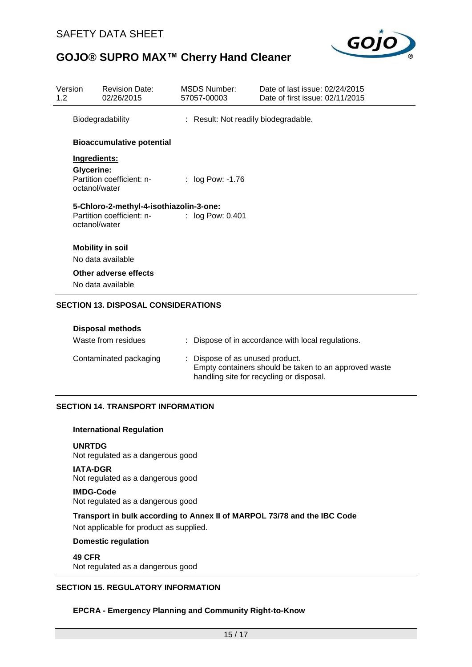

| Version<br>1.2 |                                    | <b>Revision Date:</b><br>02/26/2015                                  | MSDS Number:<br>57057-00003          | Date of last issue: 02/24/2015<br>Date of first issue: 02/11/2015 |
|----------------|------------------------------------|----------------------------------------------------------------------|--------------------------------------|-------------------------------------------------------------------|
|                | Biodegradability                   |                                                                      | : Result: Not readily biodegradable. |                                                                   |
|                |                                    | <b>Bioaccumulative potential</b>                                     |                                      |                                                                   |
|                | Ingredients:                       |                                                                      |                                      |                                                                   |
|                | <b>Glycerine:</b><br>octanol/water | Partition coefficient: n-                                            | : $log Pow: -1.76$                   |                                                                   |
|                | octanol/water                      | 5-Chloro-2-methyl-4-isothiazolin-3-one:<br>Partition coefficient: n- | $:$ log Pow: 0.401                   |                                                                   |
|                |                                    | <b>Mobility in soil</b><br>No data available                         |                                      |                                                                   |
|                |                                    | Other adverse effects<br>No data available                           |                                      |                                                                   |
|                |                                    | <b>SECTION 13. DISPOSAL CONSIDERATIONS</b>                           |                                      |                                                                   |

| <b>Disposal methods</b> |                                                                                                                                      |
|-------------------------|--------------------------------------------------------------------------------------------------------------------------------------|
| Waste from residues     | : Dispose of in accordance with local regulations.                                                                                   |
| Contaminated packaging  | : Dispose of as unused product.<br>Empty containers should be taken to an approved waste<br>handling site for recycling or disposal. |

#### **SECTION 14. TRANSPORT INFORMATION**

#### **International Regulation**

**UNRTDG**

Not regulated as a dangerous good

**IATA-DGR** Not regulated as a dangerous good

**IMDG-Code** Not regulated as a dangerous good

#### **Transport in bulk according to Annex II of MARPOL 73/78 and the IBC Code**

Not applicable for product as supplied.

#### **Domestic regulation**

#### **49 CFR**

Not regulated as a dangerous good

#### **SECTION 15. REGULATORY INFORMATION**

#### **EPCRA - Emergency Planning and Community Right-to-Know**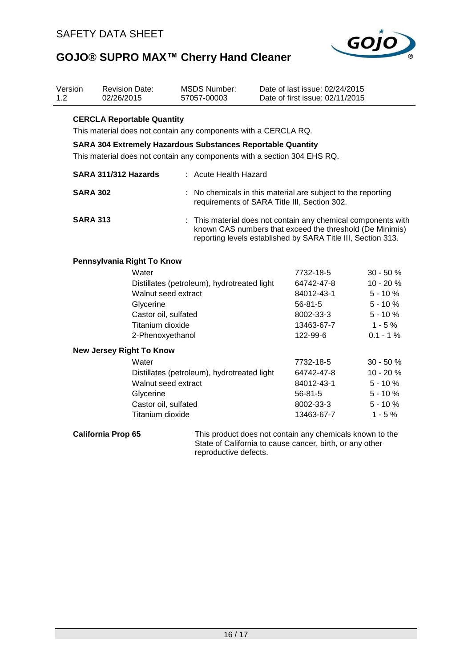

| Version<br>1.2 |                                                                                                                                                | <b>Revision Date:</b><br>02/26/2015 | <b>MSDS Number:</b><br>57057-00003                                                                                                                                                        |  | Date of last issue: 02/24/2015<br>Date of first issue: 02/11/2015 |            |  |  |
|----------------|------------------------------------------------------------------------------------------------------------------------------------------------|-------------------------------------|-------------------------------------------------------------------------------------------------------------------------------------------------------------------------------------------|--|-------------------------------------------------------------------|------------|--|--|
|                | <b>CERCLA Reportable Quantity</b><br>This material does not contain any components with a CERCLA RQ.                                           |                                     |                                                                                                                                                                                           |  |                                                                   |            |  |  |
|                | <b>SARA 304 Extremely Hazardous Substances Reportable Quantity</b><br>This material does not contain any components with a section 304 EHS RQ. |                                     |                                                                                                                                                                                           |  |                                                                   |            |  |  |
|                | SARA 311/312 Hazards                                                                                                                           |                                     | : Acute Health Hazard                                                                                                                                                                     |  |                                                                   |            |  |  |
|                | <b>SARA 302</b>                                                                                                                                |                                     | No chemicals in this material are subject to the reporting<br>requirements of SARA Title III, Section 302.                                                                                |  |                                                                   |            |  |  |
|                | <b>SARA 313</b>                                                                                                                                |                                     | : This material does not contain any chemical components with<br>known CAS numbers that exceed the threshold (De Minimis)<br>reporting levels established by SARA Title III, Section 313. |  |                                                                   |            |  |  |
|                |                                                                                                                                                | Pennsylvania Right To Know          |                                                                                                                                                                                           |  |                                                                   |            |  |  |
|                |                                                                                                                                                | Water                               |                                                                                                                                                                                           |  | 7732-18-5                                                         | $30 - 50%$ |  |  |
|                |                                                                                                                                                |                                     | Distillates (petroleum), hydrotreated light                                                                                                                                               |  | 64742-47-8                                                        | 10 - 20 %  |  |  |
|                |                                                                                                                                                | Walnut seed extract                 |                                                                                                                                                                                           |  | 84012-43-1                                                        | $5 - 10%$  |  |  |
|                | Glycerine<br>Castor oil, sulfated                                                                                                              |                                     |                                                                                                                                                                                           |  | $56 - 81 - 5$                                                     | $5 - 10%$  |  |  |
|                |                                                                                                                                                |                                     |                                                                                                                                                                                           |  | 8002-33-3                                                         | $5 - 10%$  |  |  |
|                |                                                                                                                                                | Titanium dioxide                    |                                                                                                                                                                                           |  | 13463-67-7                                                        | $1 - 5%$   |  |  |
|                |                                                                                                                                                | 2-Phenoxyethanol                    |                                                                                                                                                                                           |  | 122-99-6                                                          | $0.1 - 1%$ |  |  |
|                |                                                                                                                                                | <b>New Jersey Right To Know</b>     |                                                                                                                                                                                           |  |                                                                   |            |  |  |
|                |                                                                                                                                                | Water                               |                                                                                                                                                                                           |  | 7732-18-5                                                         | 30 - 50 %  |  |  |
|                |                                                                                                                                                |                                     | Distillates (petroleum), hydrotreated light                                                                                                                                               |  | 64742-47-8                                                        | 10 - 20 %  |  |  |
|                |                                                                                                                                                | Walnut seed extract                 |                                                                                                                                                                                           |  | 84012-43-1                                                        | $5 - 10%$  |  |  |
|                |                                                                                                                                                | Glycerine                           |                                                                                                                                                                                           |  | $56 - 81 - 5$                                                     | $5 - 10%$  |  |  |
|                |                                                                                                                                                | Castor oil, sulfated                |                                                                                                                                                                                           |  | 8002-33-3                                                         | $5 - 10%$  |  |  |
|                |                                                                                                                                                | Titanium dioxide                    |                                                                                                                                                                                           |  | 13463-67-7                                                        | $1 - 5%$   |  |  |
|                | <b>California Prop 65</b>                                                                                                                      |                                     |                                                                                                                                                                                           |  | This product does not contain any chemicals known to the          |            |  |  |

State of California to cause cancer, birth, or any other reproductive defects.